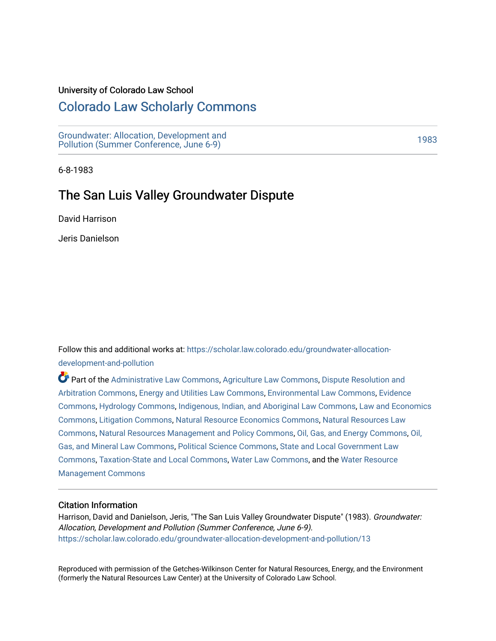# University of Colorado Law School

# [Colorado Law Scholarly Commons](https://scholar.law.colorado.edu/)

[Groundwater: Allocation, Development and](https://scholar.law.colorado.edu/groundwater-allocation-development-and-pollution)  Giodinavater. Allocation, Development and<br>Pollution (Summer Conference, June 6-9)

6-8-1983

# The San Luis Valley Groundwater Dispute

David Harrison

Jeris Danielson

Follow this and additional works at: [https://scholar.law.colorado.edu/groundwater-allocation](https://scholar.law.colorado.edu/groundwater-allocation-development-and-pollution?utm_source=scholar.law.colorado.edu%2Fgroundwater-allocation-development-and-pollution%2F13&utm_medium=PDF&utm_campaign=PDFCoverPages)[development-and-pollution](https://scholar.law.colorado.edu/groundwater-allocation-development-and-pollution?utm_source=scholar.law.colorado.edu%2Fgroundwater-allocation-development-and-pollution%2F13&utm_medium=PDF&utm_campaign=PDFCoverPages)

Part of the [Administrative Law Commons,](http://network.bepress.com/hgg/discipline/579?utm_source=scholar.law.colorado.edu%2Fgroundwater-allocation-development-and-pollution%2F13&utm_medium=PDF&utm_campaign=PDFCoverPages) [Agriculture Law Commons](http://network.bepress.com/hgg/discipline/581?utm_source=scholar.law.colorado.edu%2Fgroundwater-allocation-development-and-pollution%2F13&utm_medium=PDF&utm_campaign=PDFCoverPages), [Dispute Resolution and](http://network.bepress.com/hgg/discipline/890?utm_source=scholar.law.colorado.edu%2Fgroundwater-allocation-development-and-pollution%2F13&utm_medium=PDF&utm_campaign=PDFCoverPages) [Arbitration Commons](http://network.bepress.com/hgg/discipline/890?utm_source=scholar.law.colorado.edu%2Fgroundwater-allocation-development-and-pollution%2F13&utm_medium=PDF&utm_campaign=PDFCoverPages), [Energy and Utilities Law Commons](http://network.bepress.com/hgg/discipline/891?utm_source=scholar.law.colorado.edu%2Fgroundwater-allocation-development-and-pollution%2F13&utm_medium=PDF&utm_campaign=PDFCoverPages), [Environmental Law Commons,](http://network.bepress.com/hgg/discipline/599?utm_source=scholar.law.colorado.edu%2Fgroundwater-allocation-development-and-pollution%2F13&utm_medium=PDF&utm_campaign=PDFCoverPages) [Evidence](http://network.bepress.com/hgg/discipline/601?utm_source=scholar.law.colorado.edu%2Fgroundwater-allocation-development-and-pollution%2F13&utm_medium=PDF&utm_campaign=PDFCoverPages)  [Commons](http://network.bepress.com/hgg/discipline/601?utm_source=scholar.law.colorado.edu%2Fgroundwater-allocation-development-and-pollution%2F13&utm_medium=PDF&utm_campaign=PDFCoverPages), [Hydrology Commons](http://network.bepress.com/hgg/discipline/1054?utm_source=scholar.law.colorado.edu%2Fgroundwater-allocation-development-and-pollution%2F13&utm_medium=PDF&utm_campaign=PDFCoverPages), [Indigenous, Indian, and Aboriginal Law Commons](http://network.bepress.com/hgg/discipline/894?utm_source=scholar.law.colorado.edu%2Fgroundwater-allocation-development-and-pollution%2F13&utm_medium=PDF&utm_campaign=PDFCoverPages), [Law and Economics](http://network.bepress.com/hgg/discipline/612?utm_source=scholar.law.colorado.edu%2Fgroundwater-allocation-development-and-pollution%2F13&utm_medium=PDF&utm_campaign=PDFCoverPages)  [Commons](http://network.bepress.com/hgg/discipline/612?utm_source=scholar.law.colorado.edu%2Fgroundwater-allocation-development-and-pollution%2F13&utm_medium=PDF&utm_campaign=PDFCoverPages), [Litigation Commons,](http://network.bepress.com/hgg/discipline/910?utm_source=scholar.law.colorado.edu%2Fgroundwater-allocation-development-and-pollution%2F13&utm_medium=PDF&utm_campaign=PDFCoverPages) [Natural Resource Economics Commons,](http://network.bepress.com/hgg/discipline/169?utm_source=scholar.law.colorado.edu%2Fgroundwater-allocation-development-and-pollution%2F13&utm_medium=PDF&utm_campaign=PDFCoverPages) [Natural Resources Law](http://network.bepress.com/hgg/discipline/863?utm_source=scholar.law.colorado.edu%2Fgroundwater-allocation-development-and-pollution%2F13&utm_medium=PDF&utm_campaign=PDFCoverPages)  [Commons](http://network.bepress.com/hgg/discipline/863?utm_source=scholar.law.colorado.edu%2Fgroundwater-allocation-development-and-pollution%2F13&utm_medium=PDF&utm_campaign=PDFCoverPages), [Natural Resources Management and Policy Commons,](http://network.bepress.com/hgg/discipline/170?utm_source=scholar.law.colorado.edu%2Fgroundwater-allocation-development-and-pollution%2F13&utm_medium=PDF&utm_campaign=PDFCoverPages) [Oil, Gas, and Energy Commons,](http://network.bepress.com/hgg/discipline/171?utm_source=scholar.law.colorado.edu%2Fgroundwater-allocation-development-and-pollution%2F13&utm_medium=PDF&utm_campaign=PDFCoverPages) [Oil,](http://network.bepress.com/hgg/discipline/864?utm_source=scholar.law.colorado.edu%2Fgroundwater-allocation-development-and-pollution%2F13&utm_medium=PDF&utm_campaign=PDFCoverPages)  [Gas, and Mineral Law Commons](http://network.bepress.com/hgg/discipline/864?utm_source=scholar.law.colorado.edu%2Fgroundwater-allocation-development-and-pollution%2F13&utm_medium=PDF&utm_campaign=PDFCoverPages), [Political Science Commons](http://network.bepress.com/hgg/discipline/386?utm_source=scholar.law.colorado.edu%2Fgroundwater-allocation-development-and-pollution%2F13&utm_medium=PDF&utm_campaign=PDFCoverPages), [State and Local Government Law](http://network.bepress.com/hgg/discipline/879?utm_source=scholar.law.colorado.edu%2Fgroundwater-allocation-development-and-pollution%2F13&utm_medium=PDF&utm_campaign=PDFCoverPages) [Commons](http://network.bepress.com/hgg/discipline/879?utm_source=scholar.law.colorado.edu%2Fgroundwater-allocation-development-and-pollution%2F13&utm_medium=PDF&utm_campaign=PDFCoverPages), [Taxation-State and Local Commons](http://network.bepress.com/hgg/discipline/882?utm_source=scholar.law.colorado.edu%2Fgroundwater-allocation-development-and-pollution%2F13&utm_medium=PDF&utm_campaign=PDFCoverPages), [Water Law Commons,](http://network.bepress.com/hgg/discipline/887?utm_source=scholar.law.colorado.edu%2Fgroundwater-allocation-development-and-pollution%2F13&utm_medium=PDF&utm_campaign=PDFCoverPages) and the [Water Resource](http://network.bepress.com/hgg/discipline/1057?utm_source=scholar.law.colorado.edu%2Fgroundwater-allocation-development-and-pollution%2F13&utm_medium=PDF&utm_campaign=PDFCoverPages) [Management Commons](http://network.bepress.com/hgg/discipline/1057?utm_source=scholar.law.colorado.edu%2Fgroundwater-allocation-development-and-pollution%2F13&utm_medium=PDF&utm_campaign=PDFCoverPages)

# Citation Information

Harrison, David and Danielson, Jeris, "The San Luis Valley Groundwater Dispute" (1983). Groundwater: Allocation, Development and Pollution (Summer Conference, June 6-9). [https://scholar.law.colorado.edu/groundwater-allocation-development-and-pollution/13](https://scholar.law.colorado.edu/groundwater-allocation-development-and-pollution/13?utm_source=scholar.law.colorado.edu%2Fgroundwater-allocation-development-and-pollution%2F13&utm_medium=PDF&utm_campaign=PDFCoverPages) 

Reproduced with permission of the Getches-Wilkinson Center for Natural Resources, Energy, and the Environment (formerly the Natural Resources Law Center) at the University of Colorado Law School.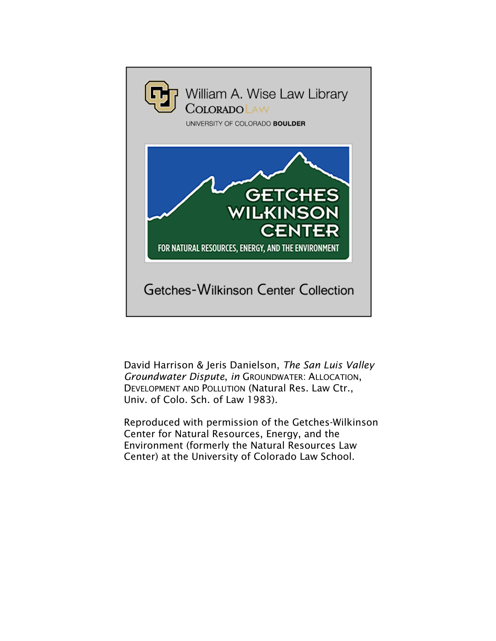

David Harrison & Jeris Danielson, *The San Luis Valley Groundwater Dispute*, *in* GROUNDWATER: ALLOCATION, DEVELOPMENT AND POLLUTION (Natural Res. Law Ctr., Univ. of Colo. Sch. of Law 1983).

Reproduced with permission of the Getches-Wilkinson Center for Natural Resources, Energy, and the Environment (formerly the Natural Resources Law Center) at the University of Colorado Law School.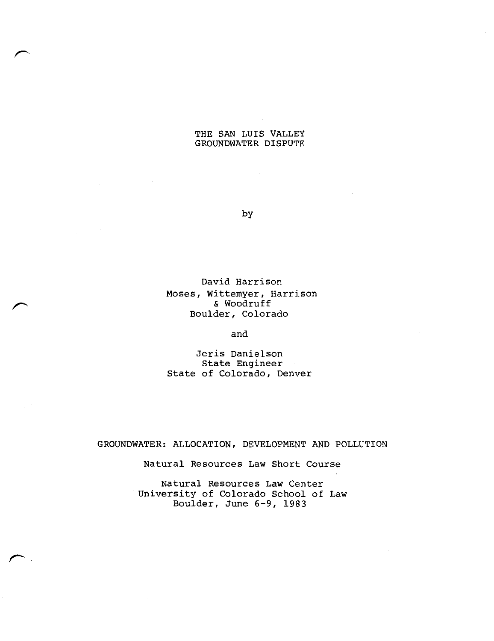# THE SAN LUIS VALLEY GROUNDWATER DISPUTE

# by

 $\sim 10^{-1}$ 

David Harrison Moses, Wittemyer, Harrison & Woodruff Boulder, Colorado

and

Jeris Danielson State Engineer State of Colorado, Denver

GROUNDWATER: ALLOCATION, DEVELOPMENT AND POLLUTION

Natural Resources Law Short Course

Natural Resources Law Center University of Colorado School of Law Boulder, June 6-9, 1983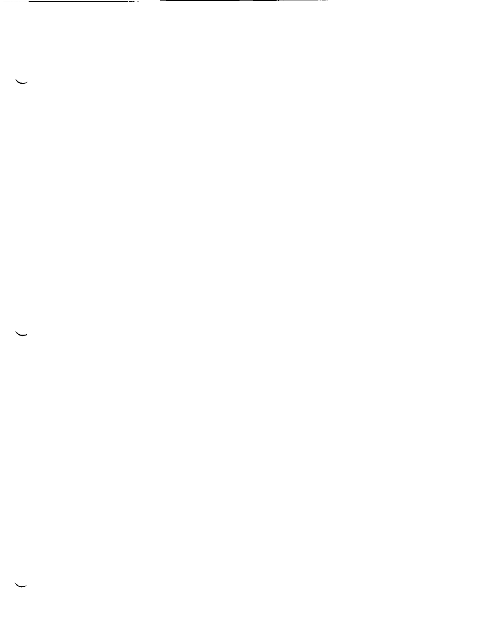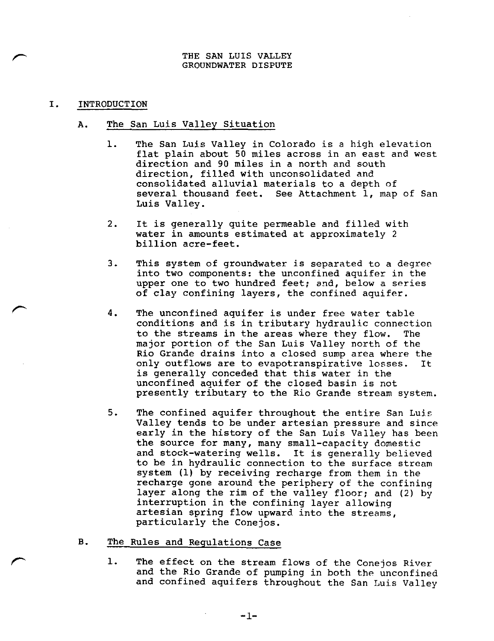THE SAN LUIS VALLEY GROUNDWATER DISPUTE

#### I. INTRODUCTION

#### A. The San Luis Valley Situation

- 1. The San Luis Valley in Colorado is a high elevation flat plain about 50 miles across in an east and west direction and 90 miles in a north and south direction, filled with unconsolidated and consolidated alluvial materials to a depth of several thousand feet. See Attachment 1, map of San Luis Valley.
- 2. It is generally quite permeable and filled with water in amounts estimated at approximately 2 billion acre-feet.
- 3. This system of groundwater is separated to a degree into two components: the unconfined aquifer in the upper one to two hundred feet; and, below a series of clay confining layers, the confined aquifer.
- 4. The unconfined aquifer is under free water table conditions and is in tributary hydraulic connection to the streams in the areas where they flow. The major portion of the San Luis Valley north of the Rio Grande drains into a closed sump area where the only outflows are to evapotranspirative losses. It is generally conceded that this water in the unconfined aquifer of the closed basin is not presently tributary to the Rio Grande stream system.
- 5. The confined aquifer throughout the entire San Luis Valley tends to be under artesian pressure and since early in the history of the San Luis Valley has been the source for many, many small-capacity domestic and stock-watering wells. It is generally believed to be in hydraulic connection to the surface stream system (1) by receiving recharge from them in the recharge gone around the periphery of the confining layer along the rim of the valley floor; and (2) by interruption in the confining layer allowing artesian spring flow upward into the streams, particularly the Conejos.
- B. The Rules and Regulations Case
	- 1. The effect on the stream flows of the Conejos River and the Rio Grande of pumping in both the unconfined and confined aquifers throughout the San Luis Valley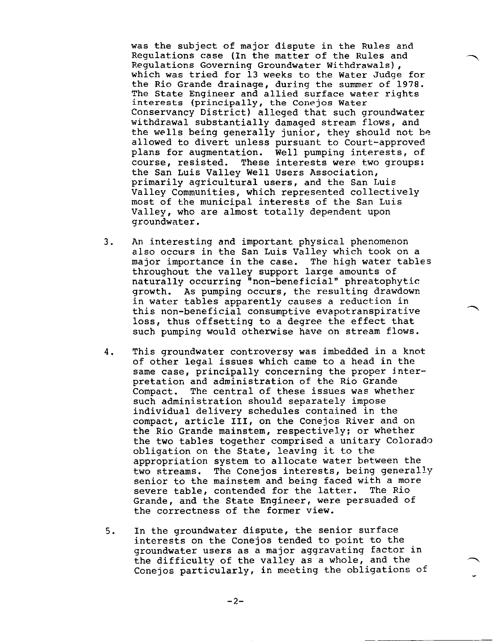was the subject of major dispute in the Rules and Regulations case (In the matter of the Rules and Regulations Governing Groundwater Withdrawals), which was tried for 13 weeks to the Water Judge for the Rio Grande drainage, during the summer of 1978. The State Engineer and allied surface water rights interests (principally, the conejos Water Conservancy District) alleged that such groundwater withdrawal substantially damaged stream flows, and the wells being generally junior, they should not be allowed to divert unless pursuant to Court-approved plans for augmentation. Well pumping interests, of course, resisted. These interests were two groups: the San Luis Valley Well Users Association, primarily agricultural users, and the San Luis Valley Communities, which represented collectively most of the municipal interests of the San Luis Valley, who are almost totally dependent upon groundwater.

- 3. An interesting and important physical phenomenon also occurs in the San Luis Valley which took on a major importance in the case. The high water tables throughout the valley support large amounts of naturally occurring "non-beneficial" phreatophytic growth. As pumping occurs, the resulting drawdown in water tables apparently causes a reduction in this non-beneficial consumptive evapotranspirative loss, thus offsetting to a degree the effect that such pumping would otherwise have on stream flows.
- 4. This groundwater controversy was imbedded in a knot of other legal issues which came to a head in the same case, principally concerning the proper interpretation and administration of the Rio Grande Compact. The central of these issues was whether such administration should separately impose individual delivery schedules contained in the compact, article III, on the Coneios River and on the Rio Grande mainstem, respectively; or whether the two tables together comprised a unitary Colorado obligation on the State, leaving it to the appropriation system to allocate water between the two streams. The Conejos interests, being generally senior to the mainstem and being faced with a more severe table, contended for the latter. The Rio severe table, contended for the latter. Grande, and the State Engineer, were persuaded of the correctness of the former view.
- 5. In the groundwater dispute, the senior surface interests on the Conejos tended to point to the groundwater users as a major aggravating factor in the difficulty of the valley as a whole, and the Conejos particularly, in meeting the obligations of

 $-2-$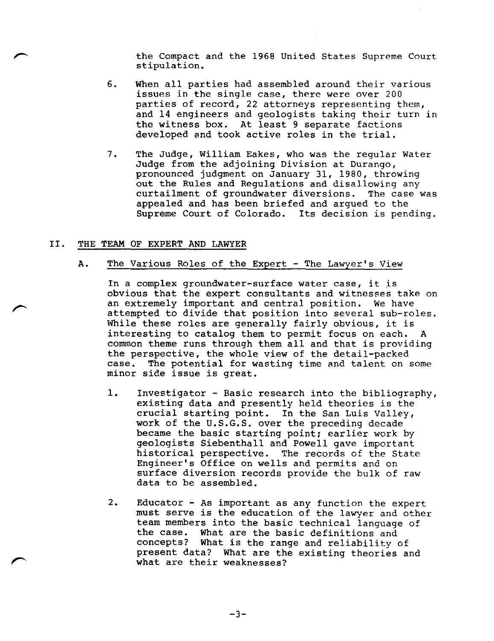the Compact and the 1968 United States Supreme Court stipulation.

- 6. When all parties had assembled around their various issues in the single case, there were over 200 parties of record, 22 attorneys representing them, and 14 engineers and geologists taking their turn in the witness box. At least 9 separate factions developed and took active roles in the trial.
- 7. The Judge, William Eakes, who was the regular Water Judge from the adjoining Division at Durango, pronounced judgment on January 31, 1980, throwing out the Rules and Regulations and disallowing any curtailment of groundwater diversions. The case was appealed and has been briefed and argued to the Supreme Court of Colorado. Its decision is pending.

#### II. THE TEAM OF EXPERT AND LAWYER

## A. The Various Roles of the Expert - The Lawyer's View

In a complex groundwater-surface water case, it is obvious that the expert consultants and witnesses take on an extremely important and central position. We have attempted to divide that position into several sub-roles. While these roles are generally fairly obvious, it is interesting to catalog them to permit focus on each. A common theme runs through them all and that is providing the perspective, the whole view of the detail-packed case. The potential for wasting time and talent on some minor side issue is great.

- 1. Investigator Basic research into the bibliography, existing data and presently held theories is the crucial starting point. In the San Luis Valley, work of the U.S.G.S. over the preceding decade became the basic starting point; earlier work by geologists Siebenthall and Powell gave important historical perspective. The records of the State Engineer's Office on wells and permits and on surface diversion records provide the bulk of raw data to be assembled.
- 2. Educator As important as any function the expert must serve is the education of the lawyer and other team members into the basic technical language of the case. What are the basic definitions and concepts? What is the range and reliability of present data? What are the existing theories and what are their weaknesses?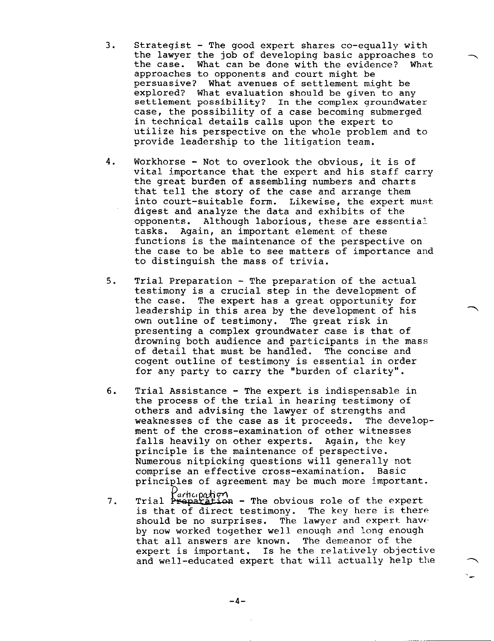- 3. Strategist The good expert shares co-equally with the lawyer the job of developing basic approaches to the case. What can be done with the evidence? What approaches to opponents and court might be persuasive? What avenues of settlement might be explored? What evaluation should be given to any settlement possibility? In the complex groundwater case, the possibility of a case becoming submerged in technical details calls upon the expert to utilize his perspective on the whole problem and to provide leadership to the litigation team.
- 4. Workhorse Not to overlook the obvious, it is of vital importance that the expert and his staff carry the great burden of assembling numbers and charts that tell the story of the case and arrange them into court-suitable form. Likewise, the expert must digest and analyze the data and exhibits of the Although laborious, these are essential tasks. Again, an important element of these functions is the maintenance of the perspective on the case to be able to see matters of importance and to distinguish the mass of trivia.
- 5. Trial Preparation The preparation of the actual testimony is a crucial step in the development of the case. The expert has a great opportunity for leadership in this area by the development of his own outline of testimony. The great risk in presenting a complex groundwater case is that of drowning both audience and participants in the mass of detail that must be handled. The concise and cogent outline of testimony is essential in order for any party to carry the "burden of clarity".
- 6. Trial Assistance The expert is indispensable in the process of the trial in hearing testimony of others and advising the lawyer of strengths and weaknesses of the case as it proceeds. The development of the cross-examination of other witnesses falls heavily on other experts. Again, the key principle is the maintenance of perspective. Numerous nitpicking questions will generally not comprise an effective cross-examination. Basic principles of agreement may be much more important. Carticipation.
- 7. Trial Preparation The obvious role of the expert is that of direct testimony. The key here is there should be no surprises. The lawyer and expert have by now worked together well enough and long enough that all answers are known. The demeanor of the expert is important. Is he the relatively objective and well-educated expert that will actually help the

 $-4-$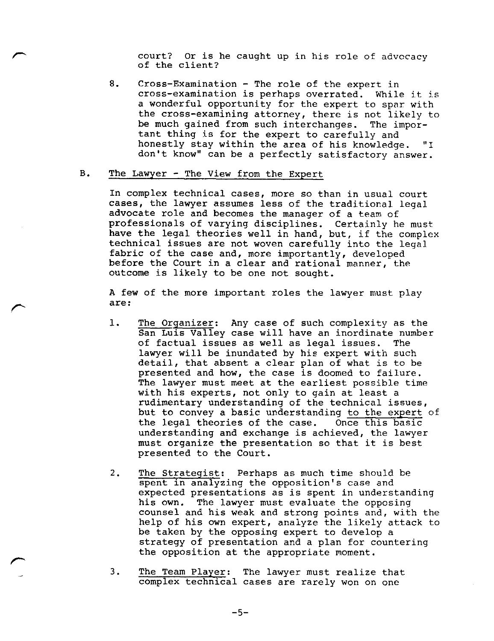court? Or is he caught up in his role of advocacy of the client?

8. Cross-Examination - The role of the expert in cross-examination is perhaps overrated. While it is a wonderful opportunity for the expert to spar with the cross-examining attorney, there is not likely to be much gained from such interchanges. The important thing is for the expert to carefully and honestly stay within the area of his knowledge. "I don't know" can be a perfectly satisfactory answer.

#### B. The Lawyer - The View from the Expert

In complex technical cases, more so than in usual court cases, the lawyer assumes less of the traditional legal advocate role and becomes the manager of a team of professionals of varying disciplines. Certainly he must have the legal theories well in hand, but, if the complex technical issues are not woven carefully into the legal fabric of the case and, more importantly, developed before the Court in a clear and rational manner, the outcome is likely to be one not sought.

A few of the more important roles the lawyer must play are:

- 1. The Organizer: Any case of such complexity as the San Luis Valley case will have an inordinate number of factual issues as well as legal issues. The lawyer will be inundated by his expert with such detail, that absent a clear plan of what is to be presented and how, the case is doomed to failure. The lawyer must meet at the earliest possible time with his experts, not only to gain at least a rudimentary understanding of the technical issues, but to convey a basic understanding to the expert of the legal theories of the case. Once this basic understanding and exchange is achieved, the lawyer must organize the presentation so that it is best presented to the Court.
- 2. The Strategist: Perhaps as much time should be spent in analyzing the opposition's case and expected presentations as is spent in understanding his own. The lawyer must evaluate the opposing counsel and his weak and strong points and, with the help of his own expert, analyze the likely attack to be taken by the opposing expert to develop a strategy of presentation and a plan for countering the opposition at the appropriate moment.
- 3. The Team Player: The lawyer must realize that complex technical cases are rarely won on one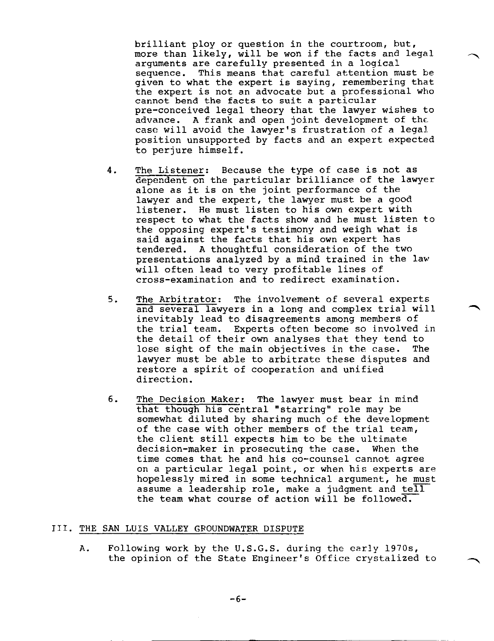brilliant ploy or question in the courtroom, but, more than likely, will be won if the facts and legal arguments are carefully presented in a logical sequence. This means that careful attention must be given to what the expert is saying, remembering that the expert is not an advocate but a professional who cannot bend the facts to suit a particular pre-conceived legal theory that the lawyer wishes to advance. A frank and open joint development of the case will avoid the lawyer's frustration of a legal position unsupported by facts and an expert expected to perjure himself.

- 4. The Listener: Because the type of case is not as dependent on the particular brilliance of the lawyer alone as it is on the joint performance of the lawyer and the expert, the lawyer must be a good listener. He must listen to his own expert with respect to what the facts show and he must listen to the opposing expert's testimony and weigh what is said against the facts that his own expert has tendered. A thoughtful consideration of the two presentations analyzed by a mind trained in the law will often lead to very profitable lines of cross-examination and to redirect examination.
- 5. The Arbitrator: The involvement of several experts and several lawyers in a long and complex trial will inevitably lead to disagreements among members of the trial team. Experts often become so involved in the detail of their own analyses that they tend to lose sight of the main objectives in the case. The lawyer must be able to arbitrate these disputes and restore a spirit of cooperation and unified direction.
- 6. The Decision Maker: The lawyer must bear in mind that though his central "starring" role may be somewhat diluted by sharing much of the development of the case with other members of the trial team, the client still expects him to be the ultimate decision-maker in prosecuting the case. When the time comes that he and his co-counsel cannot agree on a particular legal point, or when his experts are hopelessly mired in some technical argument, he must assume a leadership role, make a judgment and tell the team what course of action will be followed.

#### III. THE SAN LUIS VALLEY GROUNDWATER DISPUTE

A. Following work by the U.S.G.S. during the early 1970s, the opinion of the State Engineer's Office crystalized to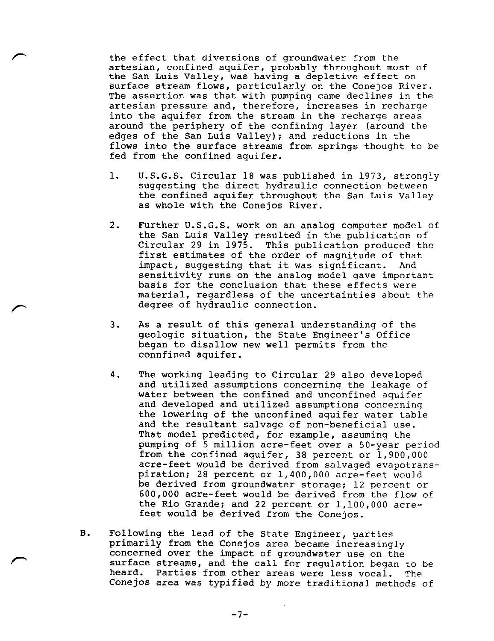the effect that diversions of groundwater from the artesian, confined aquifer, probably throughout most of the San Luis valley, was having a depletive effect on surface stream flows, particularly on the Conejos River. The assertion was that with pumping came declines in the artesian pressure and, therefore, increases in recharge into the aquifer from the stream in the recharge areas around the periphery of the confining layer (around the edges of the San Luis Valley); and reductions in the flows into the surface streams from springs thought to be fed from the confined aquifer.

- 1. U.S.G.S. Circular 18 was published in 1973, strongly suggesting the direct hydraulic connection between the confined aquifer throughout the San Luis Valley as whole with the Conejos River.
- 2. Further U.S.G.S. work on an analog computer model of the San Luis Valley resulted in the publication of Circular 29 in 1975. This publication produced the first estimates of the order of magnitude of that impact, suggesting that it was significant. And sensitivity runs on the analog model gave important basis for the conclusion that these effects were material, regardless of the uncertainties about the degree of hydraulic connection.
- 3. As a result of this general understanding of the geologic situation, the State Engineer's Office began to disallow new well permits from the connfined aquifer.
- 4. The working leading to Circular 29 also developed and utilized assumptions concerning the leakage of water between the confined and unconfined aquifer and developed and utilized assumptions concerning the lowering of the unconfined aquifer water table and the resultant salvage of non-beneficial use. That model predicted, for example, assuming the pumping of 5 million acre-feet over a 50-year period from the confined aquifer, 38 percent or 1,900,000 acre-feet would be derived from salvaged evapotranspiration; 28 percent or 1,400,000 acre-feet would be derived from groundwater storage; 12 percent or 600,000 acre-feet would be derived from the flow of the Rio Grande; and 22 percent or 1,100,000 acrefeet would be derived from the Conejos.
- B. Following the lead of the State Engineer, parties primarily from the Conejos area became increasingly concerned over the impact of groundwater use on the surface streams, and the call for regulation began to be heard. Parties from other areas were less vocal. The Conejos area was typified by more traditional methods of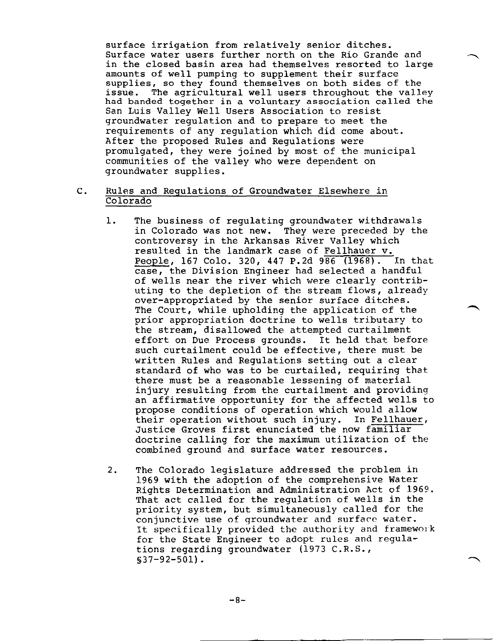surface irrigation from relatively senior ditches. Surface water users further north on the Rio Grande and in the closed basin area had themselves resorted to large amounts of well pumping to supplement their surface supplies, so they found themselves on both sides of the issue. The agricultural well users throughout the valley had banded together in a voluntary association called the San Luis Valley Well Users Association to resist groundwater regulation and to prepare to meet the requirements of any regulation which did come about. After the proposed Rules and Regulations were promulgated, they were joined by most of the municipal communities of the valley who were dependent on groundwater supplies.

### C. Rules and Regulations of Groundwater Elsewhere in Colorado

- 1. The business of regulating groundwater withdrawals in Colorado was not new. They were preceded by the controversy in the Arkansas River Valley which resulted in the landmark case of Fellhauer v. People, 167 Colo. 320, 447 P.2d 986 (1968). In that case, the Division Engineer had selected a handful of wells near the river which were clearly contributing to the depletion of the stream flows, already over-appropriated by the senior surface ditches. The Court, while upholding the application of the prior appropriation doctrine to wells tributary to the stream, disallowed the attempted curtailment effort on Due Process grounds. It held that before such curtailment could be effective, there must be written Rules and Regulations setting out a clear standard of who was to be curtailed, requiring that there must be a reasonable lessening of material injury resulting from the curtailment and providing an affirmative opportunity for the affected wells to propose conditions of operation which would allow their operation without such injury. In Fellhauer, Justice Groves first enunciated the now familiar doctrine calling for the maximum utilization of the combined ground and surface water resources.
- 2. The Colorado legislature addressed the problem in 1969 with the adoption of the comprehensive Water Rights Determination and Administration Act of 1969. That act called for the regulation of wells in the priority system, but simultaneously called for the conjunctive use of groundwater and surface water. It specifically provided the authority and framework for the State Engineer to adopt rules and regulations regarding groundwater (1973 C.R.S., §37-92-501).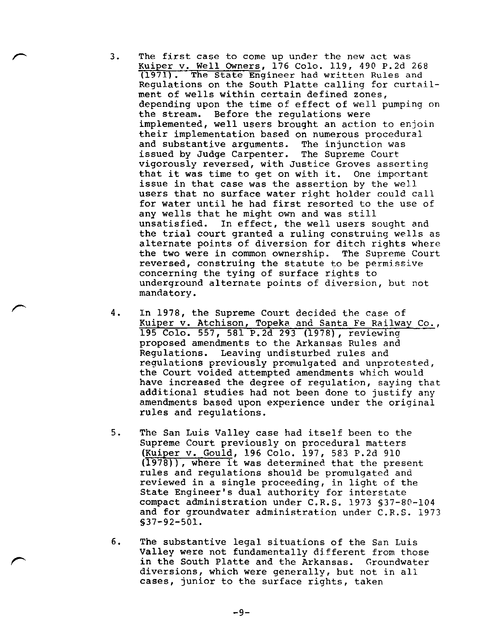- 3. The first case to come up under the new act was Kuiper v. Well Owners, 176 Colo. 119, 490 P.2d 268 (1971). The State Engineer had written Rules and Regulations on the South Platte calling for curtailment of wells within certain defined zones, depending upon the time of effect of well pumping on the stream. Before the regulations were implemented, well users brought an action to enjoin their implementation based on numerous procedural and substantive arguments. The injunction was issued by Judge Carpenter. The Supreme Court vigorously reversed, with Justice Groves asserting that it was time to get on with it. One important issue in that case was the assertion by the well users that no surface water right holder could call for water until he had first resorted to the use of any wells that he might own and was still unsatisfied. In effect, the well users sought and the trial court granted a ruling construing wells as alternate points of diversion for ditch rights where the two were in common ownership. The Supreme Court the two were in common ownership. reversed, construing the statute to be permissive concerning the tying of surface rights to underground alternate points of diversion, but not mandatory.
- 4. In 1978, the Supreme Court decided the case of Kuiper v. Atchison, Topeka and Santa Fe Railway Co., 195 Colo. 557, 581 P.2d 293 (1978), reviewing proposed amendments to the Arkansas Rules and Regulations. Leaving undisturbed rules and regulations previously promulgated and unprotested, the Court voided attempted amendments which would have increased the degree of regulation, saying that additional studies had not been done to justify any amendments based upon experience under the original rules and regulations.
- 5. The San Luis Valley case had itself been to the Supreme Court previously on procedural matters (Kuiper v. Gould, 196 Colo. 197, 583 P.2d 910 (1978)), where it was determined that the present rules and regulations should be promulgated and reviewed in a single proceeding, in light of the State Engineer's dual authority for interstate compact administration under C.R.S. 1973 537-80-104 and for groundwater administration under C.R.S. 1973 S37-92-501.
- 6. The substantive legal situations of the San Luis Valley were not fundamentally different from those in the South Platte and the Arkansas. Groundwater diversions, which were generally, but not in all cases, junior to the surface rights, taken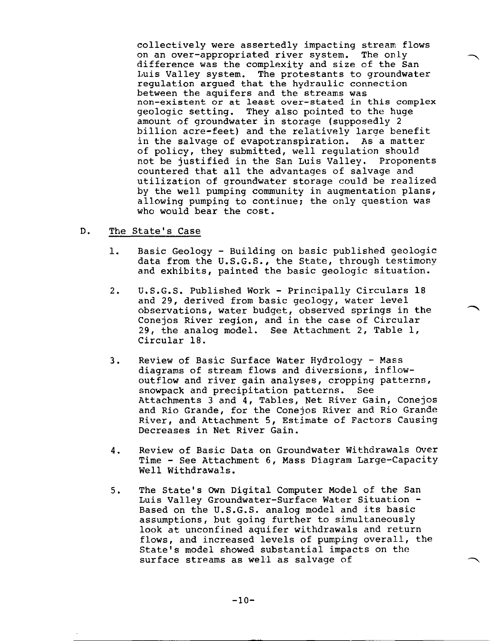collectively were assertedly impacting stream flows on an over-appropriated river system. The only difference was the complexity and size of the San Luis Valley system. The protestants to groundwater regulation argued that the hydraulic connection between the aquifers and the streams was non-existent or at least over-stated in this complex geologic setting. They also pointed to the huge amount of groundwater in storage (supposedly 2 billion acre-feet) and the relatively large benefit in the salvage of evapotranspiration. As a matter of policy, they submitted, well regulation should not be justified in the San Luis Valley. Proponents countered that all the advantages of salvage and utilization of groundwater storage could be realized by the well pumping community in augmentation plans, allowing pumping to continue; the only question was who would bear the cost.

- D. The State's Case
	- 1. Basic Geology Building on basic published geologic data from the U.S.G.S., the State, through testimony and exhibits, painted the basic geologic situation.
	- 2. U.S.G.S. Published Work Principally Circulars 18 and 29, derived from basic geology, water level observations, water budget, observed springs in the Conejos River region, and in the case of Circular 29, the analog model. See Attachment 2, Table 1, Circular 18.
	- 3. Review of Basic Surface Water Hydrology Mass diagrams of stream flows and diversions, inflowoutflow and river gain analyses, cropping patterns, snowpack and precipitation patterns. See Attachments 3 and 4, Tables, Net River Gain, Conejos and Rio Grande, for the Conejos River and Rio Grande River, and Attachment 5, Estimate of Factors Causing Decreases in Net River Gain.
	- 4. Review of Basic Data on Groundwater Withdrawals Over Time - See Attachment 6, Mass Diagram Large-Capacity Well Withdrawals.
	- 5. The State's Own Digital Computer Model of the San Luis Valley Groundwater-Surface Water Situation - Based on the U.S.G.S. analog model and its basic assumptions, but going further to simultaneously look at unconfined aquifer withdrawals and return flows, and increased levels of pumping overall, the State's model showed substantial impacts on the surface streams as well as salvage of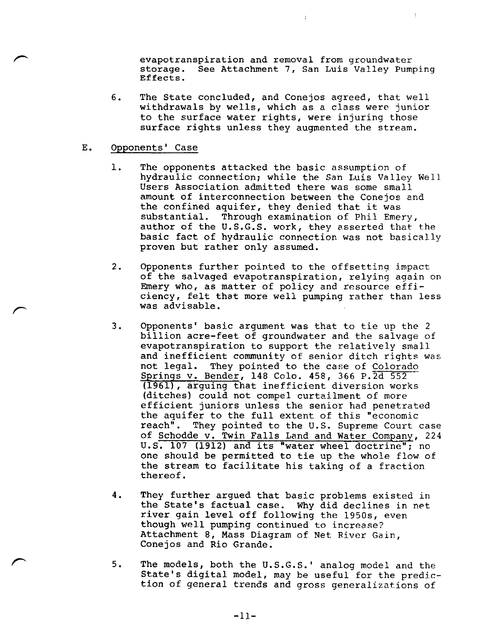evapotranspiration and removal from groundwater storage. See Attachment 7, San Luis Valley Pumping Effects.

6. The State concluded, and Conejos agreed, that well withdrawals by wells, which as a class were junior to the surface water rights, were injuring those surface rights unless they augmented the stream.

## E. Opponents' Case

- 1. The opponents attacked the basic assumption of hydraulic connection; while the San Luis Valley Well Users Association admitted there was some small amount of interconnection between the Conejos and the confined aquifer, they denied that it was substantial. Through examination of Phil Emery, author of the U.S.G.S. work, they asserted that the basic fact of hydraulic connection was not basically proven but rather only assumed.
- 2. Opponents further pointed to the offsetting impact of the salvaged evapotranspiration, relying again on Emery who, as matter of policy and resource efficiency, felt that more well pumping rather than less was advisable.
- 3. Opponents' basic argument was that to tie up the 2 billion acre-feet of groundwater and the salvage of evapotranspiration to support the relatively small and inefficient community of senior ditch rights was not legal. They pointed to the case of Colorado Springs v. Bender, 148 Colo. 458, 366 P.2d 552 (1961), arguing that inefficient diversion works (ditches) could not compel curtailment of more efficient juniors unless the senior had penetrated the aquifer to the full extent of this "economic reach". They pointed to the U.S. Supreme Court case of Schodde v. Twin Falls Land and Water Company, 224 U.S. 107 (1912) and its "water wheel doctrine"; no one should be permitted to tie up the whole flow of the stream to facilitate his taking of a fraction thereof.
- 4. They further argued that basic problems existed in the State's factual case. Why did declines in net river gain level off following the 1950s, even though well pumping continued to increase? Attachment 8, Mass Diagram of Net River Gain, Conejos and Rio Grande.
- 5. The models, both the U.S.G.S.' analog model and the State's digital model, may be useful for the prediction of general trends and gross generalizations of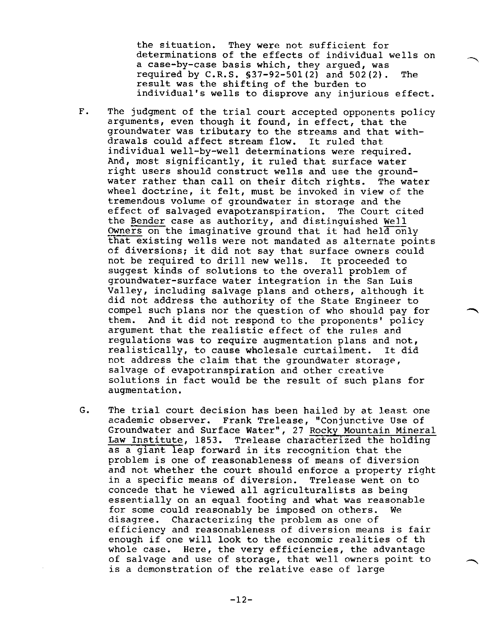the situation. They were not sufficient for determinations of the effects of individual wells on a case-by-case basis which, they argued, was required by C.R.S. §37-92-501(2) and 502(2). The result was the shifting of the burden to individual's wells to disprove any injurious effect.

- F. The judgment of the trial court accepted opponents policy arguments, even though it found, in effect, that the groundwater was tributary to the streams and that withdrawals could affect stream flow. It ruled that individual well-by-well determinations were required. And, most significantly, it ruled that surface water right users should construct wells and use the groundwater rather than call on their ditch rights. The water wheel doctrine, it felt, must be invoked in view of the tremendous volume of groundwater in storage and the effect of salvaged evapotranspiration. The Court cited the Bender case as authority, and distinguished Well Owners on the imaginative ground that it had held only that existing wells were not mandated as alternate points of diversions; it did not say that surface owners could not be required to drill new wells. It proceeded to suggest kinds of solutions to the overall problem of groundwater-surface water integration in the San Luis Valley, including salvage plans and others, although it did not address the authority of the State Engineer to compel such plans nor the question of who should pay for them. And it did not respond to the proponents' policy argument that the realistic effect of the rules and regulations was to require augmentation plans and not, realistically, to cause wholesale curtailment. It did not address the claim that the groundwater storage, salvage of evapotranspiration and other creative solutions in fact would be the result of such plans for augmentation.
- G. The trial court decision has been hailed by at least one academic observer. Frank Trelease, "Conjunctive Use of Groundwater and Surface Water", 27 Rocky Mountain Mineral Law Institute, 1853. Trelease characterized the holding as a giant leap forward in its recognition that the problem is one of reasonableness of means of diversion and not whether the court should enforce a property right in a specific means of diversion. Trelease went on to concede that he viewed all agriculturalists as being essentially on an equal footing and what was reasonable for some could reasonably be imposed on others. We disagree. Characterizing the problem as one of efficiency and reasonableness of diversion means is fair enough if one will look to the economic realities of th whole case. Here, the very efficiencies, the advantage of salvage and use of storage, that well owners point to is a demonstration of the relative ease of large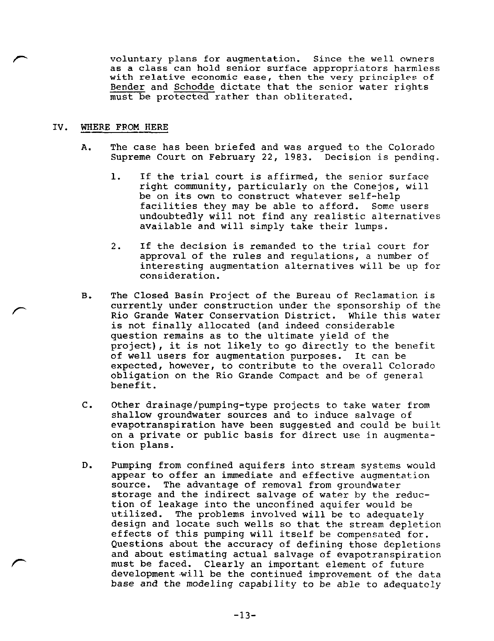voluntary plans for augmentation. Since the well owners as a class can hold senior surface appropriators harmless with relative economic ease, then the very principles of Bender and Schodde dictate that the senior water rights must be protected rather than obliterated.

#### IV. WHERE FROM HERE

- A. The case has been briefed and was argued to the Colorado Supreme Court on February 22, 1983. Decision is pending.
	- 1. If the trial court is affirmed, the senior surface right community, particularly on the Conejos, will be on its own to construct whatever self-help facilities they may be able to afford. Some users undoubtedly will not find any realistic alternatives available and will simply take their lumps.
	- 2. If the decision is remanded to the trial court for approval of the rules and regulations, a number of interesting augmentation alternatives will be up for consideration.
- B. The Closed Basin Project of the Bureau of Reclamation is currently under construction under the sponsorship of the Rio Grande Water Conservation District. While this water is not finally allocated (and indeed considerable question remains as to the ultimate yield of the project), it is not likely to go directly to the benefit of well users for augmentation purposes. It can be expected, however, to contribute to the overall Colorado obligation on the Rio Grande Compact and be of general benefit.
- C. Other drainage/pumping-type projects to take water from shallow groundwater sources and to induce salvage of evapotranspiration have been suggested and could be built on a private or public basis for direct use in augmentation plans.
- D. Pumping from confined aquifers into stream systems would appear to offer an immediate and effective augmentation source. The advantage of removal from groundwater storage and the indirect salvage of water by the reduction of leakage into the unconfined aquifer would be utilized. The problems involved will be to adequately design and locate such wells so that the stream depletion effects of this pumping will itself be compensated for. Questions about the accuracy of defining those depletions and about estimating actual salvage of evapotranspiration must be faced. Clearly an important element of future development will be the continued improvement of the data base and the modeling capability to be able to adequately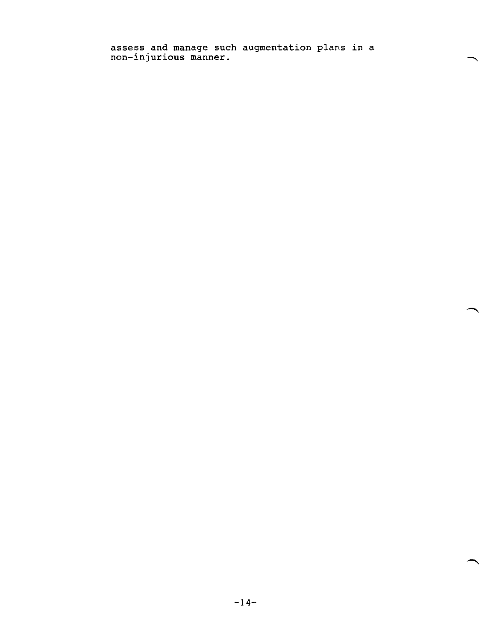assess and manage such augmentation plans in a  $non-injurious manner.$ 

 $\overline{\phantom{a}}$ 

 $\sim 10^{-1}$ 

 $\overline{\phantom{0}}$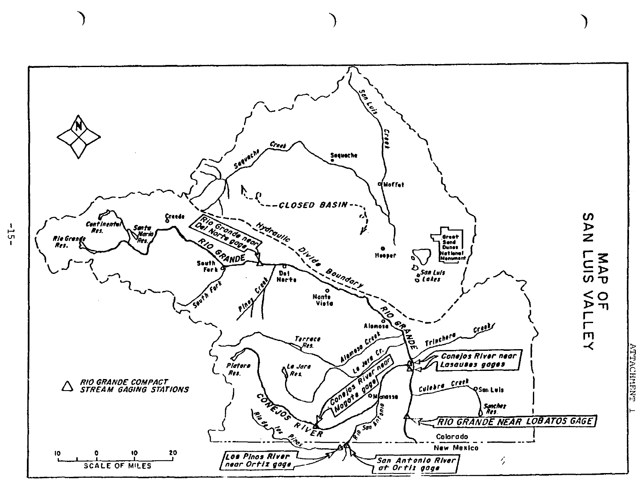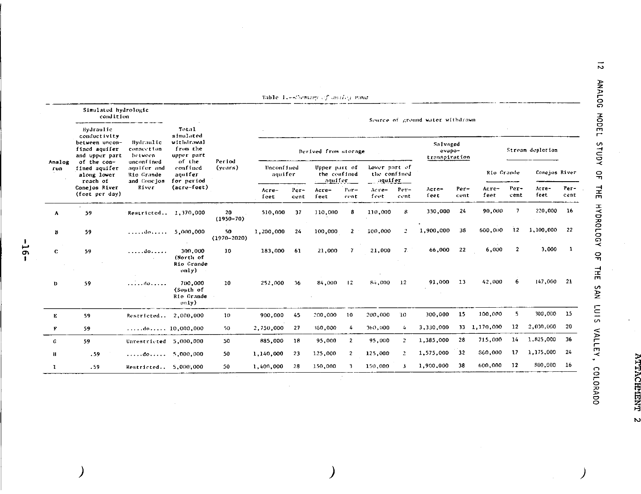|     | Simulated hydrologic<br>condition                                                                                                                   |                                                                                              |                                                        |                       |                                   |              |                              |              |                                          |                | Source of ground water withdrawn                  |                                     |               |                  |               |              |
|-----|-----------------------------------------------------------------------------------------------------------------------------------------------------|----------------------------------------------------------------------------------------------|--------------------------------------------------------|-----------------------|-----------------------------------|--------------|------------------------------|--------------|------------------------------------------|----------------|---------------------------------------------------|-------------------------------------|---------------|------------------|---------------|--------------|
|     | Hydraulic<br>conductivity<br>between uncon-<br>fined aquifer<br>and upper part<br>of the con-<br>Analog<br>fined aquifer<br>along lower<br>reach of |                                                                                              | Total<br>simulated                                     |                       |                                   |              |                              |              |                                          |                |                                                   |                                     |               |                  |               |              |
|     |                                                                                                                                                     | Hydraulic<br>connection<br>between<br>unconfined<br>aquifer and<br>Rio Grande<br>and Concjos | vithdrawal<br>from the<br>upper part<br>of the         | Period                |                                   |              | Derived from storage         |              |                                          |                |                                                   | Salvaged<br>evapo-<br>transpiration |               | Stream deplotion |               |              |
| run |                                                                                                                                                     |                                                                                              |                                                        |                       | confined<br>aquifer<br>for period | (years)      | <b>Unconfined</b><br>aquifer |              | Upper part of<br>the contined<br>aquifer |                | Lower part of<br>the confined<br><u>uguifer .</u> |                                     |               |                  | Rio Grande    |              |
|     | Conejos River<br>(feet per day)                                                                                                                     | River                                                                                        | (acre-feet)                                            |                       | Acre-<br>feet                     | Per-<br>cent | Acre-<br>feet                | Per-<br>cent | $Accre-$<br>feet                         | Per-<br>cent   | Acre-<br>teet                                     | Per-<br>cent                        | Acre-<br>feet | Per-<br>cent     | Acre-<br>feet | Per-<br>cent |
| A   | 59                                                                                                                                                  | Restricted 1,370,000                                                                         |                                                        | 20<br>$(1950 - 70)$   | 510,000                           | 37           | 110,000                      | 8            | 110,000                                  | 8              | 330,000                                           | 24                                  | 90,000        | 7                | 220,000       | -16          |
| в   | 59                                                                                                                                                  | $$ do 5,000.000                                                                              |                                                        | 50<br>$(1970 - 2020)$ | 1,200,000                         | 24           | 100,000                      | $\mathbf{2}$ | 100,000                                  | 2              | 1,900,000                                         | 38                                  | 600,000       | $\overline{12}$  | 1,100,000     | -22          |
| c   | 59                                                                                                                                                  | . . <i>. .</i> . do <i>.</i>                                                                 | 300,000<br>(North of<br>Rio Grande<br>only)            | 10                    | 183,000                           | -61          | 21,000                       | $\mathbf{7}$ | 21,000                                   | 7.             | 66,000                                            | 22                                  | 6,000         | 2                | 3,000         | -1           |
| D   | 59                                                                                                                                                  | . do                                                                                         | 700,000<br>(South of<br>Rio Grande<br>$_{\text{only}}$ | 10                    | 252,000                           | 36           | 84,000                       | E            | 84,000                                   | 12             | 91,000                                            | 13                                  | 42,000        | 6                | 147,000       | -21          |
| E   | 59                                                                                                                                                  | Restricted 2,000,000                                                                         |                                                        | 10                    | 900,000                           | 45           | 200,000                      | 10           | 200,000                                  | $\mathbf{10}$  | 300,000                                           | 15                                  | 100,000       | 5.               | 300,000       | -15          |
| F   | 59                                                                                                                                                  | $\ldots$ , do 10,000,000                                                                     |                                                        | 50.                   | 2,750,000                         | 27           | 360,000                      | 4            | 360,000                                  | 4              | 3,330,000                                         | 33                                  | 1,170,000     | 12               | 2,030,000     | 20           |
| G   | 59                                                                                                                                                  | Unrestricted 5,000,000                                                                       |                                                        | 50                    | 885,000                           | 18           | 95,000                       | 2            | 95,000                                   | $\mathbf{r}$   | 1,385,000                                         | 28                                  | 715,000       | 14               | 1,825,000     | 36           |
| И   | .59                                                                                                                                                 | $$ do 5.000.000                                                                              |                                                        | 50                    | 1,140,000                         | 23           | 125,000                      | $\mathbf{2}$ | 125,000                                  | $\overline{2}$ | 1,575,000                                         | -32                                 | 360,000       | $\mathbf{17}$    | 1,175,000     | 24           |
| 1   | .59                                                                                                                                                 | Restricted 5,000,000                                                                         |                                                        | 50                    | 1,400,000                         | -28          | 150,000                      | 3            | 150,000                                  |                | 1,900,000                                         | 38                                  | 600,000       | 12               | S00,000       | <b>16</b>    |

 $\mathcal{I}$ 

 $\mathcal{A}$ 

 $\mathcal{A}^{\mathcal{A}}$ Table 1 .-- Cormany of analysisman

**ATTACHMENT 2** 

 $\overline{z}$ 

ANALOG MODEL STUDY OF THE HYDROLOGY OF THE SAN LUIS VALLEY, COLORADO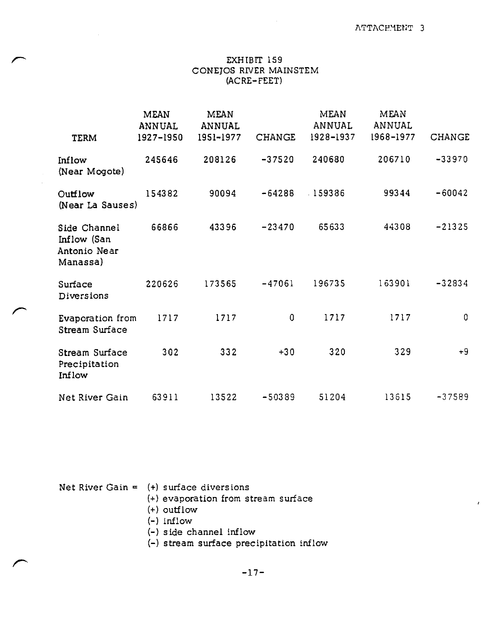ź.

# EXHIBIT 159 CONEJOS RIVER MAINSTEM (ACRE-FEET)

| <b>TERM</b>                                             | <b>MEAN</b><br><b>ANNUAL</b><br>1927-1950 | <b>MEAN</b><br><b>ANNUAL</b><br>1951-1977 | <b>CHANGE</b> | <b>MEAN</b><br><b>ANNUAL</b><br>1928-1937 | <b>MEAN</b><br>ANNUAL<br>1968-1977 | <b>CHANGE</b> |
|---------------------------------------------------------|-------------------------------------------|-------------------------------------------|---------------|-------------------------------------------|------------------------------------|---------------|
| Inflow<br>(Near Mogote)                                 | 245646                                    | 208126                                    | $-37520$      | 240680                                    | 206710                             | $-33970$      |
| Outflow<br>(Near La Sauses)                             | 154382                                    | 90094                                     | $-64288$      | 159386                                    | 99344                              | $-60042$      |
| Side Channel<br>Inflow (San<br>Antonio Near<br>Manassa) | 66866                                     | 43396                                     | $-23470$      | 65633                                     | 44308                              | $-21325$      |
| Surface<br>Diversions                                   | 220626                                    | 173565                                    | $-47061$      | 196735                                    | 163901                             | $-32834$      |
| Evaporation from<br>Stream Surface                      | 1717                                      | 1717                                      | $\bf{0}$      | 1717                                      | 1717                               | $\mathbf 0$   |
| Stream Surface<br>Precipitation<br>Inflow               | 302                                       | 332                                       | $+30$         | 320                                       | 329                                | $+9$          |
| Net River Gain                                          | 63911                                     | 13522                                     | $-50389$      | 51204                                     | 13615                              | $-37589$      |

Net River Gain  $=$  (+) surface diversions (+) evaporation from stream surface (+) outflow (-) inflow (-) side channel inflow

 $\sqrt{ }$ 

(-) stream surface precipitation inflow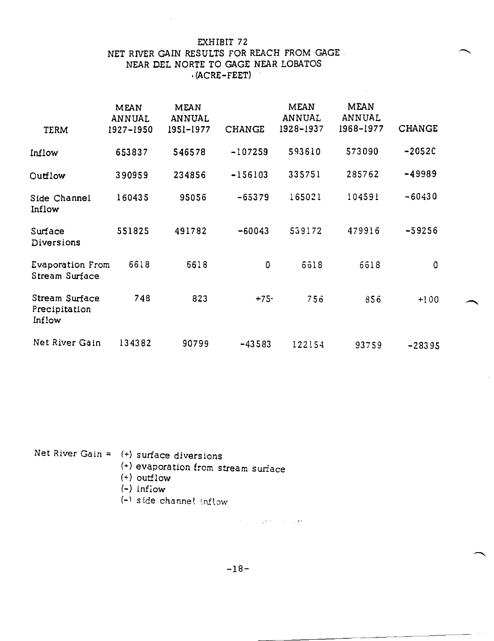# EXHIBIT 72 NET RIVER GAIN RESULTS FOR REACH FROM GAGE NEAR DEL NORTE TO GAGE NEAR LOBATOS .(ACRE-FEET)

| <b>TERM</b>                               | <b>MEAN</b><br>ANNUAL<br>1927-1950 | <b>MEAN</b><br><b>ANNUAL</b><br>1951-1977 | <b>CHANGE</b> | <b>MEAN</b><br><b>ANNUAL</b><br>1928-1937 | <b>MEAN</b><br>ANNUAL<br>1968-1977 | <b>CHANGE</b>  |
|-------------------------------------------|------------------------------------|-------------------------------------------|---------------|-------------------------------------------|------------------------------------|----------------|
|                                           |                                    |                                           |               |                                           |                                    |                |
| Inflow                                    | 653837                             | 546578                                    | $-107259$     | 593610                                    | 573090                             | $-2052C$       |
| Outflow                                   | 390959                             | 234856                                    | $-156103$     | 335751                                    | 285762                             | $-49989$       |
| Side Channel<br>Inflow                    | 160435                             | 95056                                     | $-65379$      | 165021                                    | 104591                             | $-60430$       |
| Surface<br>Diversions                     | 551825                             | 491782                                    | $-60043$      | 539172                                    | 479916                             | $-59256$       |
| Evaporation From<br>Stream Surface        | 6618                               | 6618                                      | 0             | 6618                                      | 6618                               | $\overline{0}$ |
| Stream Surface<br>Precipitation<br>Inflow | 748                                | 823                                       | $+75-$        | 756                                       | 856                                | $+100$         |
| Net River Gain                            | 134382                             | 90799                                     | $-43583$      | 122154                                    | 93759                              | $-28395$       |

Net River Gain =  $(+)$  surface diversions

- 
- (+) evaporation from stream surface
- (+) outflow
- $(-)$  inflow
- $(-)$  side channel inflow

-18-

 $\mathcal{O}(n^2)$  , we have  $\mathcal{O}(n^2)$  . As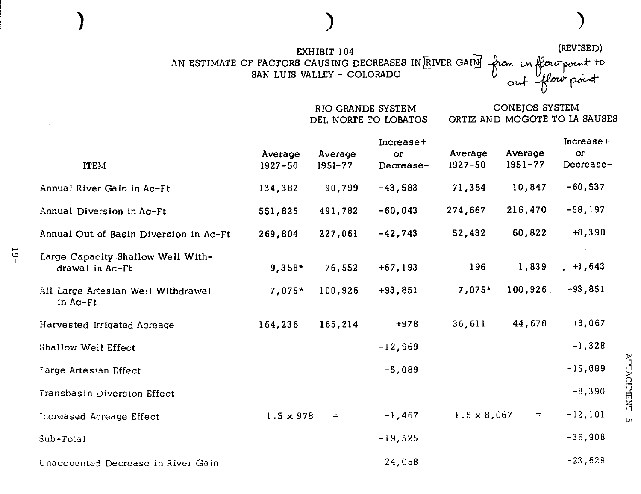(REVISED) in flow point to out flow EXHIBIT 104 AN ESTIMATE OF FACTORS CAUSING DECREASES IN RIVER GAIN SAN LUIS VALLEY - COLORADO

RIO GRANDE SYSTEM DEL NORTE TO LOBATOS

CONEJOS SYSTEM ORTIZ AND MOGOTE TO LA SAUSES

|      | <b>ITEM</b>                                          | Average<br>$1927 - 50$ | Average<br>$1951 - 77$ | Increase+<br>or<br>Decrease- | Average<br>$1927 - 50$ | Average<br>$1951 - 77$ | Increase+<br>or<br>Decrease- |                    |
|------|------------------------------------------------------|------------------------|------------------------|------------------------------|------------------------|------------------------|------------------------------|--------------------|
|      | Annual River Gain in Ac-Ft                           | 134,382                | 90,799                 | $-43,583$                    | 71,384                 | 10,847                 | $-60,537$                    |                    |
|      | Annual Diversion in Ac-Ft                            | 551,825                | 491,782                | $-60,043$                    | 274,667                | 216,470                | $-58,197$                    |                    |
|      | Annual Out of Basin Diversion in Ac-Ft               | 269,804                | 227,061                | $-42,743$                    | 52,432                 | 60,822                 | $+8,390$                     |                    |
| ِّ ت | Large Capacity Shallow Well With-<br>drawal in Ac-Ft | $9,358*$               | 76,552                 | $+67,193$                    | 196                    | 1,839                  | $, +1,643$                   |                    |
|      | All Large Artesian Well Withdrawal<br>in Ac-Ft       | $7.075*$               | 100,926                | $+93,851$                    | $7,075*$               | 100,926                | $+93,851$                    |                    |
|      | Harvested Irrigated Acreage                          | 164,236                | 165,214                | $+978$                       | 36,611                 | 44,678                 | $+8,067$                     |                    |
|      | Shallow Well Effect                                  |                        |                        | $-12,969$                    |                        |                        | $-1,328$                     |                    |
|      | Large Artesian Effect                                |                        |                        | $-5,089$                     |                        |                        | $-15,089$                    |                    |
|      | Transbasin Diversion Effect                          |                        |                        |                              |                        |                        | $-8,390$                     | <b>ATTACH'IENT</b> |
|      | Increased Acreage Effect                             | $1.5 \times 978$       | $\equiv$               | $-1,467$                     | $1.5 \times 8,067$     | $\equiv$               | $-12,101$                    | Uп                 |
|      | Sub-Total                                            |                        |                        | $-19,525$                    |                        |                        | $-36,908$                    |                    |
|      | Unaccounted Decrease in River Gain                   |                        |                        | $-24,058$                    |                        |                        | $-23,629$                    |                    |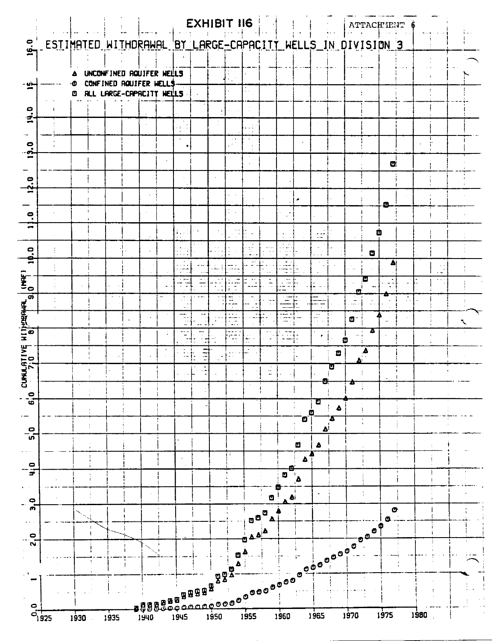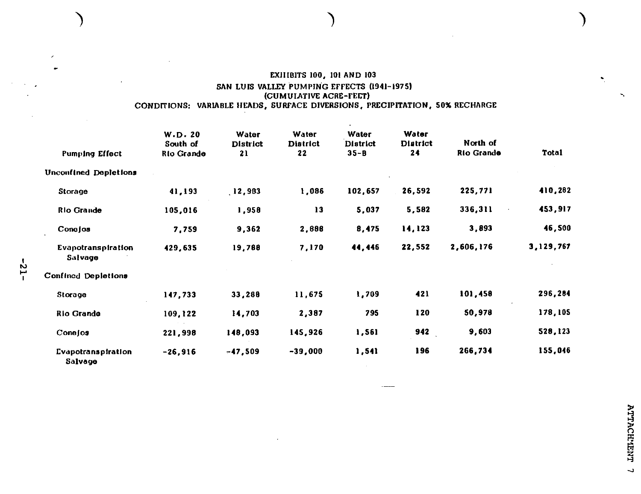# **EXHIBITS 100, 101 AND 103 SAN LUIS VALLEY PUMPING EFFECTS (1941-1975) (CUMULATIVE ACRE-FEET) CONDITIONS: VARIABLE IIEADS, SURFACE DIVERSIONS, PRECIPITATION, 50% RECHARGE**

|        | <b>Pumping Effect</b>         | W.D. 20<br>South of<br>Rio Grande | <b>Water</b><br><b>District</b><br>21 | Water<br><b>District</b><br>22 | Water<br><b>District</b><br>$35 - B$ | Water<br><b>District</b><br>24 | North of<br>Rio Grande | Total     |
|--------|-------------------------------|-----------------------------------|---------------------------------------|--------------------------------|--------------------------------------|--------------------------------|------------------------|-----------|
|        | <b>Unconfined Depletions</b>  |                                   |                                       |                                |                                      |                                |                        |           |
|        | Storage                       | 41,193                            | 12,983                                | 1,086                          | 102,657                              | 26,592                         | 225,771                | 410,282   |
|        | <b>RIo Grande</b>             | 105,016                           | 1,958                                 | 13                             | 5,037                                | 5,582                          | 336,311                | 453,917   |
|        | Conejos                       | 7,759                             | 9,362                                 | 2,886                          | 8,475                                | 14,123                         | 3,893                  | 46,500    |
| ს<br>ს | Evapotranspiration<br>Salvage | 429,635                           | 19,788                                | 7,170                          | 44,446                               | 22,552                         | 2,606,176              | 3,129,767 |
|        | <b>Confined Depletions</b>    |                                   |                                       |                                |                                      |                                |                        |           |
|        | Storage                       | 147,733                           | 33,288                                | 11,675                         | 1,709                                | 421                            | 101,458                | 296,284   |
|        | Rio Grande                    | 109,122                           | 14,703                                | 2,387                          | 795                                  | 120                            | 50,978                 | 178,105   |
|        | Conejos                       | 221,998                           | 148,093                               | 145,926                        | 1,561                                | 942                            | 9,603                  | 528,123   |
|        | Evapotranspiration<br>Salvage | $-26,916$                         | $-47,509$                             | $-39,000$                      | 1,541                                | 196                            | 266,734                | 155,046   |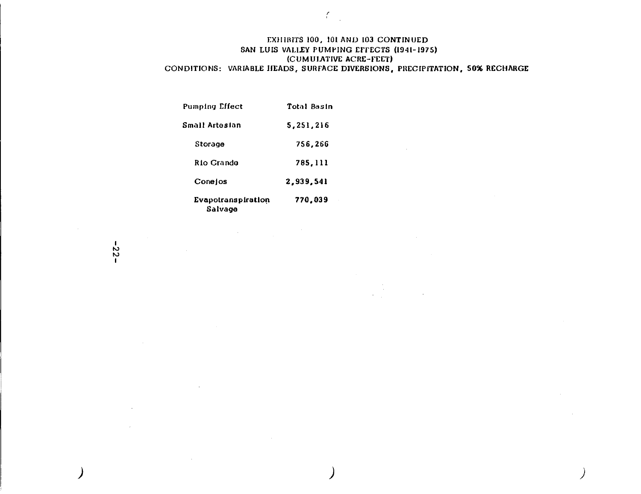# EXHIBITS 100, 101 AND 103 CONTINUED SAN LUIS VALLEY PUMPING EFFECTS (1941-1975) (CUMULATIVE ACRE-FEET) CONDITIONS: VARIABLE IfEADS, SURFACE DIVERSIONS, PRECIPITATION, 50% RECHARGE

| Pumping Effect                | Total Basin |  |  |  |  |
|-------------------------------|-------------|--|--|--|--|
| Small Arteslan                | 5.251.216   |  |  |  |  |
| Storage                       | 756,266     |  |  |  |  |
| Rio Granda                    | 785.111     |  |  |  |  |
| Conelos                       | 2,939,541   |  |  |  |  |
| Evapotranspiration<br>Salvage | 770,039     |  |  |  |  |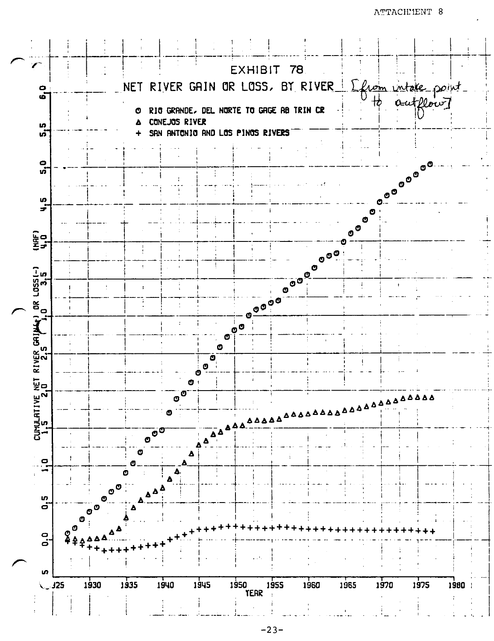ATTACHMENT 8